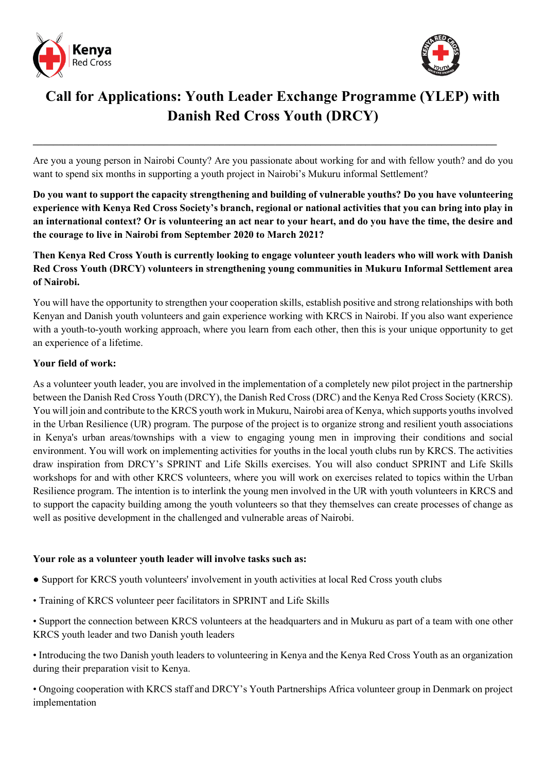



# **Call for Applications: Youth Leader Exchange Programme (YLEP) with Danish Red Cross Youth (DRCY)**

Are you a young person in Nairobi County? Are you passionate about working for and with fellow youth? and do you want to spend six months in supporting a youth project in Nairobi's Mukuru informal Settlement?

**\_\_\_\_\_\_\_\_\_\_\_\_\_\_\_\_\_\_\_\_\_\_\_\_\_\_\_\_\_\_\_\_\_\_\_\_\_\_\_\_\_\_\_\_\_\_\_\_\_\_\_\_\_\_\_\_\_\_\_\_\_\_\_\_\_\_\_\_\_\_\_\_\_\_\_\_\_\_\_\_\_\_\_\_\_\_\_\_\_\_\_\_**

**Do you want to support the capacity strengthening and building of vulnerable youths? Do you have volunteering experience with Kenya Red Cross Society's branch, regional or national activities that you can bring into play in an international context? Or is volunteering an act near to your heart, and do you have the time, the desire and the courage to live in Nairobi from September 2020 to March 2021?** 

**Then Kenya Red Cross Youth is currently looking to engage volunteer youth leaders who will work with Danish Red Cross Youth (DRCY) volunteers in strengthening young communities in Mukuru Informal Settlement area of Nairobi.**

You will have the opportunity to strengthen your cooperation skills, establish positive and strong relationships with both Kenyan and Danish youth volunteers and gain experience working with KRCS in Nairobi. If you also want experience with a youth-to-youth working approach, where you learn from each other, then this is your unique opportunity to get an experience of a lifetime.

## **Your field of work:**

As a volunteer youth leader, you are involved in the implementation of a completely new pilot project in the partnership between the Danish Red Cross Youth (DRCY), the Danish Red Cross (DRC) and the Kenya Red Cross Society (KRCS). You will join and contribute to the KRCS youth work in Mukuru, Nairobi area of Kenya, which supports youthsinvolved in the Urban Resilience (UR) program. The purpose of the project is to organize strong and resilient youth associations in Kenya's urban areas/townships with a view to engaging young men in improving their conditions and social environment. You will work on implementing activities for youths in the local youth clubs run by KRCS. The activities draw inspiration from DRCY's SPRINT and Life Skills exercises. You will also conduct SPRINT and Life Skills workshops for and with other KRCS volunteers, where you will work on exercises related to topics within the Urban Resilience program. The intention is to interlink the young men involved in the UR with youth volunteers in KRCS and to support the capacity building among the youth volunteers so that they themselves can create processes of change as well as positive development in the challenged and vulnerable areas of Nairobi.

## **Your role as a volunteer youth leader will involve tasks such as:**

- Support for KRCS youth volunteers' involvement in youth activities at local Red Cross youth clubs
- Training of KRCS volunteer peer facilitators in SPRINT and Life Skills

• Support the connection between KRCS volunteers at the headquarters and in Mukuru as part of a team with one other KRCS youth leader and two Danish youth leaders

• Introducing the two Danish youth leaders to volunteering in Kenya and the Kenya Red Cross Youth as an organization during their preparation visit to Kenya.

• Ongoing cooperation with KRCS staff and DRCY's Youth Partnerships Africa volunteer group in Denmark on project implementation